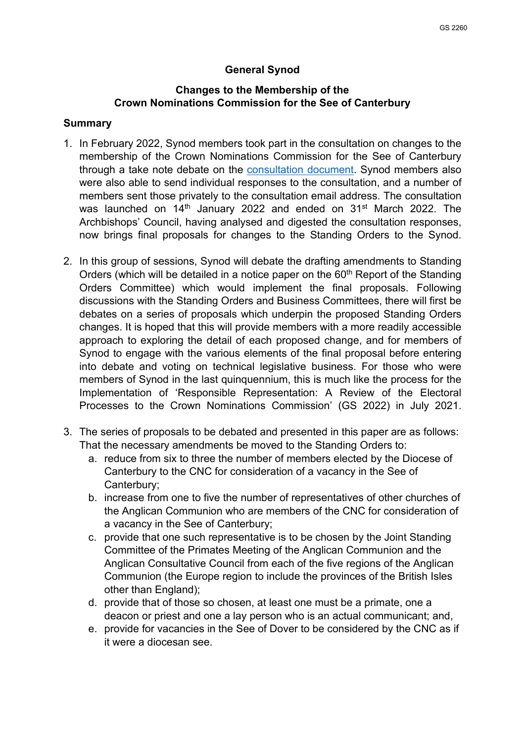## **General Synod**

### **Changes to the Membership of the Crown Nominations Commission for the See of Canterbury**

#### **Summary**

- 1. In February 2022, Synod members took part in the consultation on changes to the membership of the Crown Nominations Commission for the See of Canterbury through a take note debate on the [consultation document.](https://www.churchofengland.org/sites/default/files/2022-01/Consultation%20Document%20Changes%20to%20the%20Membership%20of%20the%20CNC%20for%20the%20See%20of%20Canterbury%20January%202022.pdf) Synod members also were also able to send individual responses to the consultation, and a number of members sent those privately to the consultation email address. The consultation was launched on 14<sup>th</sup> January 2022 and ended on 31<sup>st</sup> March 2022. The Archbishops' Council, having analysed and digested the consultation responses, now brings final proposals for changes to the Standing Orders to the Synod.
- 2. In this group of sessions, Synod will debate the drafting amendments to Standing Orders (which will be detailed in a notice paper on the  $60<sup>th</sup>$  Report of the Standing Orders Committee) which would implement the final proposals. Following discussions with the Standing Orders and Business Committees, there will first be debates on a series of proposals which underpin the proposed Standing Orders changes. It is hoped that this will provide members with a more readily accessible approach to exploring the detail of each proposed change, and for members of Synod to engage with the various elements of the final proposal before entering into debate and voting on technical legislative business. For those who were members of Synod in the last quinquennium, this is much like the process for the Implementation of 'Responsible Representation: A Review of the Electoral Processes to the Crown Nominations Commission' (GS 2022) in July 2021.
- 3. The series of proposals to be debated and presented in this paper are as follows: That the necessary amendments be moved to the Standing Orders to:
	- a. reduce from six to three the number of members elected by the Diocese of Canterbury to the CNC for consideration of a vacancy in the See of Canterbury;
	- b. increase from one to five the number of representatives of other churches of the Anglican Communion who are members of the CNC for consideration of a vacancy in the See of Canterbury;
	- c. provide that one such representative is to be chosen by the Joint Standing Committee of the Primates Meeting of the Anglican Communion and the Anglican Consultative Council from each of the five regions of the Anglican Communion (the Europe region to include the provinces of the British Isles other than England);
	- d. provide that of those so chosen, at least one must be a primate, one a deacon or priest and one a lay person who is an actual communicant; and,
	- e. provide for vacancies in the See of Dover to be considered by the CNC as if it were a diocesan see.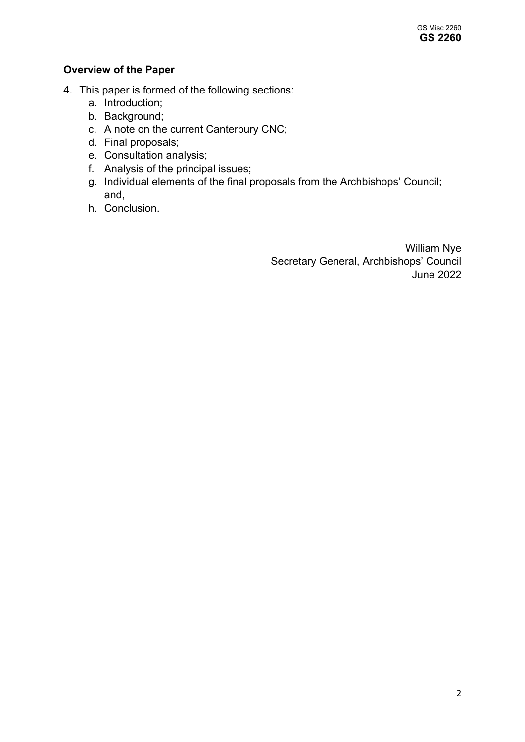# **Overview of the Paper**

- 4. This paper is formed of the following sections:
	- a. Introduction;
	- b. Background;
	- c. A note on the current Canterbury CNC;
	- d. Final proposals;
	- e. Consultation analysis;
	- f. Analysis of the principal issues;
	- g. Individual elements of the final proposals from the Archbishops' Council; and,
	- h. Conclusion.

William Nye Secretary General, Archbishops' Council June 2022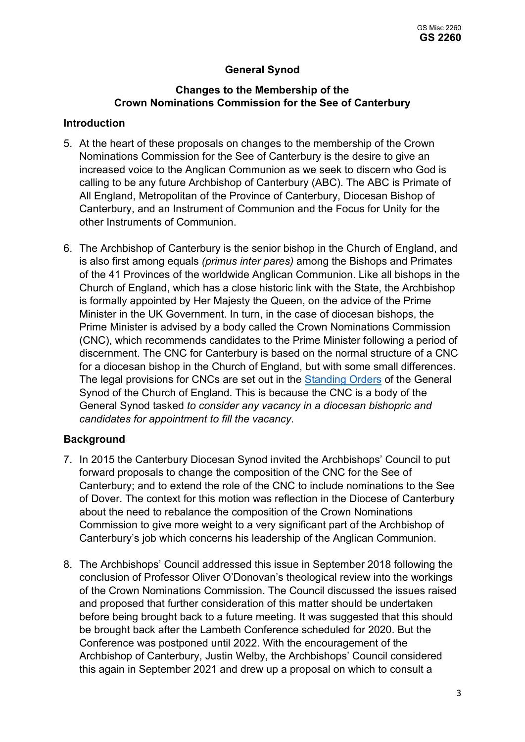# **General Synod**

### **Changes to the Membership of the Crown Nominations Commission for the See of Canterbury**

### **Introduction**

- 5. At the heart of these proposals on changes to the membership of the Crown Nominations Commission for the See of Canterbury is the desire to give an increased voice to the Anglican Communion as we seek to discern who God is calling to be any future Archbishop of Canterbury (ABC). The ABC is Primate of All England, Metropolitan of the Province of Canterbury, Diocesan Bishop of Canterbury, and an Instrument of Communion and the Focus for Unity for the other Instruments of Communion.
- 6. The Archbishop of Canterbury is the senior bishop in the Church of England, and is also first among equals *(primus inter pares)* among the Bishops and Primates of the 41 Provinces of the worldwide Anglican Communion. Like all bishops in the Church of England, which has a close historic link with the State, the Archbishop is formally appointed by Her Majesty the Queen, on the advice of the Prime Minister in the UK Government. In turn, in the case of diocesan bishops, the Prime Minister is advised by a body called the Crown Nominations Commission (CNC), which recommends candidates to the Prime Minister following a period of discernment. The CNC for Canterbury is based on the normal structure of a CNC for a diocesan bishop in the Church of England, but with some small differences. The legal provisions for CNCs are set out in the [Standing Orders](https://www.churchofengland.org/sites/default/files/2022-02/Standing%20order-%20updated%20Feb%2022%20%282%29.pdf) of the General Synod of the Church of England. This is because the CNC is a body of the General Synod tasked *to consider any vacancy in a diocesan bishopric and candidates for appointment to fill the vacancy*.

### **Background**

- 7. In 2015 the Canterbury Diocesan Synod invited the Archbishops' Council to put forward proposals to change the composition of the CNC for the See of Canterbury; and to extend the role of the CNC to include nominations to the See of Dover. The context for this motion was reflection in the Diocese of Canterbury about the need to rebalance the composition of the Crown Nominations Commission to give more weight to a very significant part of the Archbishop of Canterbury's job which concerns his leadership of the Anglican Communion.
- 8. The Archbishops' Council addressed this issue in September 2018 following the conclusion of Professor Oliver O'Donovan's theological review into the workings of the Crown Nominations Commission. The Council discussed the issues raised and proposed that further consideration of this matter should be undertaken before being brought back to a future meeting. It was suggested that this should be brought back after the Lambeth Conference scheduled for 2020. But the Conference was postponed until 2022. With the encouragement of the Archbishop of Canterbury, Justin Welby, the Archbishops' Council considered this again in September 2021 and drew up a proposal on which to consult a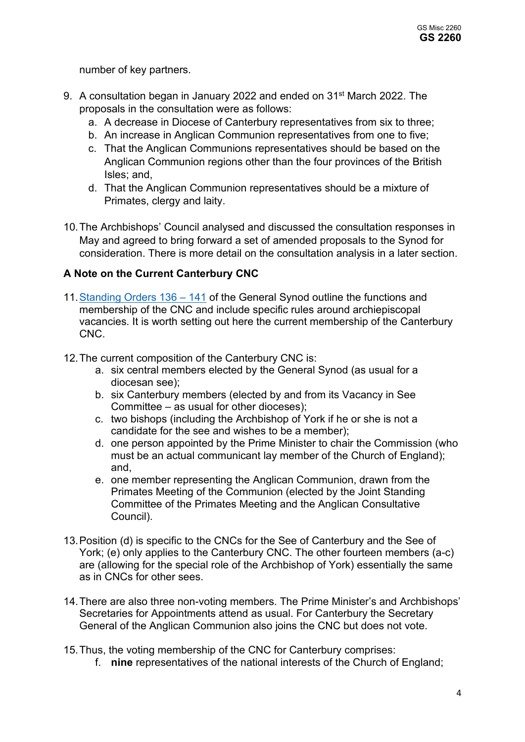number of key partners.

- 9. A consultation began in January 2022 and ended on 31<sup>st</sup> March 2022. The proposals in the consultation were as follows:
	- a. A decrease in Diocese of Canterbury representatives from six to three;
	- b. An increase in Anglican Communion representatives from one to five;
	- c. That the Anglican Communions representatives should be based on the Anglican Communion regions other than the four provinces of the British Isles; and,
	- d. That the Anglican Communion representatives should be a mixture of Primates, clergy and laity.
- 10.The Archbishops' Council analysed and discussed the consultation responses in May and agreed to bring forward a set of amended proposals to the Synod for consideration. There is more detail on the consultation analysis in a later section.

# **A Note on the Current Canterbury CNC**

- 11[.Standing Orders 136 141](https://www.churchofengland.org/sites/default/files/2022-02/Standing%20order-%20updated%20Feb%2022%20%282%29.pdf) of the General Synod outline the functions and membership of the CNC and include specific rules around archiepiscopal vacancies. It is worth setting out here the current membership of the Canterbury CNC.
- 12.The current composition of the Canterbury CNC is:
	- a. six central members elected by the General Synod (as usual for a diocesan see);
	- b. six Canterbury members (elected by and from its Vacancy in See Committee – as usual for other dioceses);
	- c. two bishops (including the Archbishop of York if he or she is not a candidate for the see and wishes to be a member);
	- d. one person appointed by the Prime Minister to chair the Commission (who must be an actual communicant lay member of the Church of England); and,
	- e. one member representing the Anglican Communion, drawn from the Primates Meeting of the Communion (elected by the Joint Standing Committee of the Primates Meeting and the Anglican Consultative Council).
- 13.Position (d) is specific to the CNCs for the See of Canterbury and the See of York; (e) only applies to the Canterbury CNC. The other fourteen members (a-c) are (allowing for the special role of the Archbishop of York) essentially the same as in CNCs for other sees.
- 14.There are also three non-voting members. The Prime Minister's and Archbishops' Secretaries for Appointments attend as usual. For Canterbury the Secretary General of the Anglican Communion also joins the CNC but does not vote.
- 15.Thus, the voting membership of the CNC for Canterbury comprises:
	- f. **nine** representatives of the national interests of the Church of England;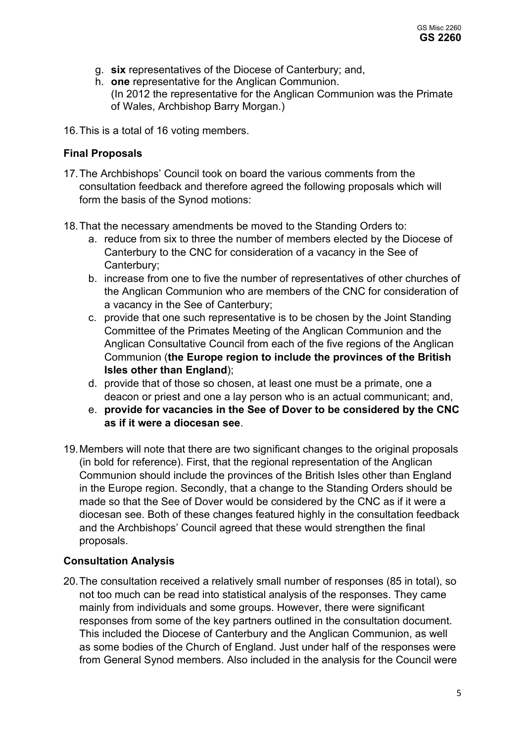- g. **six** representatives of the Diocese of Canterbury; and,
- h. **one** representative for the Anglican Communion. (In 2012 the representative for the Anglican Communion was the Primate of Wales, Archbishop Barry Morgan.)
- 16.This is a total of 16 voting members.

## **Final Proposals**

- 17.The Archbishops' Council took on board the various comments from the consultation feedback and therefore agreed the following proposals which will form the basis of the Synod motions:
- 18.That the necessary amendments be moved to the Standing Orders to:
	- a. reduce from six to three the number of members elected by the Diocese of Canterbury to the CNC for consideration of a vacancy in the See of Canterbury;
	- b. increase from one to five the number of representatives of other churches of the Anglican Communion who are members of the CNC for consideration of a vacancy in the See of Canterbury;
	- c. provide that one such representative is to be chosen by the Joint Standing Committee of the Primates Meeting of the Anglican Communion and the Anglican Consultative Council from each of the five regions of the Anglican Communion (**the Europe region to include the provinces of the British Isles other than England**);
	- d. provide that of those so chosen, at least one must be a primate, one a deacon or priest and one a lay person who is an actual communicant; and,
	- e. **provide for vacancies in the See of Dover to be considered by the CNC as if it were a diocesan see**.
- 19.Members will note that there are two significant changes to the original proposals (in bold for reference). First, that the regional representation of the Anglican Communion should include the provinces of the British Isles other than England in the Europe region. Secondly, that a change to the Standing Orders should be made so that the See of Dover would be considered by the CNC as if it were a diocesan see. Both of these changes featured highly in the consultation feedback and the Archbishops' Council agreed that these would strengthen the final proposals.

## **Consultation Analysis**

20.The consultation received a relatively small number of responses (85 in total), so not too much can be read into statistical analysis of the responses. They came mainly from individuals and some groups. However, there were significant responses from some of the key partners outlined in the consultation document. This included the Diocese of Canterbury and the Anglican Communion, as well as some bodies of the Church of England. Just under half of the responses were from General Synod members. Also included in the analysis for the Council were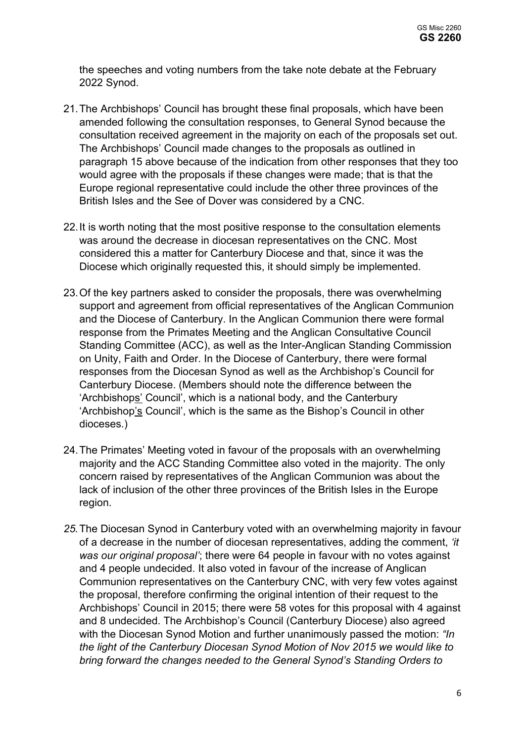the speeches and voting numbers from the take note debate at the February 2022 Synod.

- 21.The Archbishops' Council has brought these final proposals, which have been amended following the consultation responses, to General Synod because the consultation received agreement in the majority on each of the proposals set out. The Archbishops' Council made changes to the proposals as outlined in paragraph 15 above because of the indication from other responses that they too would agree with the proposals if these changes were made; that is that the Europe regional representative could include the other three provinces of the British Isles and the See of Dover was considered by a CNC.
- 22.It is worth noting that the most positive response to the consultation elements was around the decrease in diocesan representatives on the CNC. Most considered this a matter for Canterbury Diocese and that, since it was the Diocese which originally requested this, it should simply be implemented.
- 23.Of the key partners asked to consider the proposals, there was overwhelming support and agreement from official representatives of the Anglican Communion and the Diocese of Canterbury. In the Anglican Communion there were formal response from the Primates Meeting and the Anglican Consultative Council Standing Committee (ACC), as well as the Inter-Anglican Standing Commission on Unity, Faith and Order. In the Diocese of Canterbury, there were formal responses from the Diocesan Synod as well as the Archbishop's Council for Canterbury Diocese. (Members should note the difference between the 'Archbishops' Council', which is a national body, and the Canterbury 'Archbishop's Council', which is the same as the Bishop's Council in other dioceses.)
- 24.The Primates' Meeting voted in favour of the proposals with an overwhelming majority and the ACC Standing Committee also voted in the majority. The only concern raised by representatives of the Anglican Communion was about the lack of inclusion of the other three provinces of the British Isles in the Europe region.
- *25.*The Diocesan Synod in Canterbury voted with an overwhelming majority in favour of a decrease in the number of diocesan representatives, adding the comment, *'it was our original proposal'*; there were 64 people in favour with no votes against and 4 people undecided. It also voted in favour of the increase of Anglican Communion representatives on the Canterbury CNC, with very few votes against the proposal, therefore confirming the original intention of their request to the Archbishops' Council in 2015; there were 58 votes for this proposal with 4 against and 8 undecided. The Archbishop's Council (Canterbury Diocese) also agreed with the Diocesan Synod Motion and further unanimously passed the motion: *"In the light of the Canterbury Diocesan Synod Motion of Nov 2015 we would like to bring forward the changes needed to the General Synod's Standing Orders to*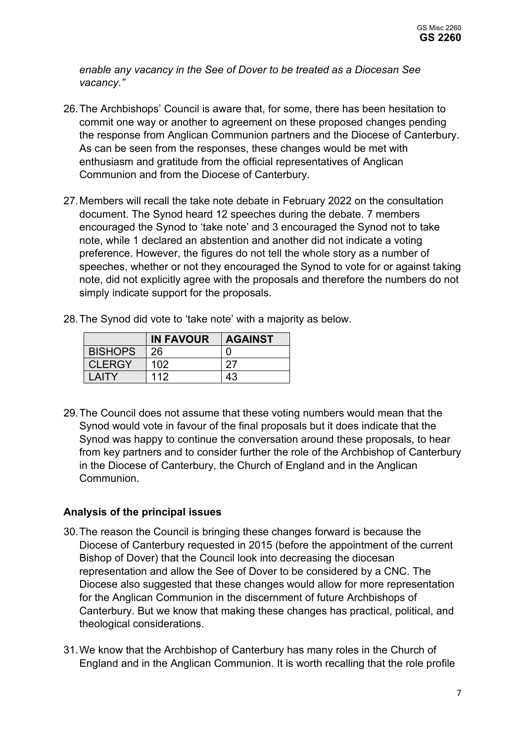*enable any vacancy in the See of Dover to be treated as a Diocesan See vacancy."* 

- 26.The Archbishops' Council is aware that, for some, there has been hesitation to commit one way or another to agreement on these proposed changes pending the response from Anglican Communion partners and the Diocese of Canterbury. As can be seen from the responses, these changes would be met with enthusiasm and gratitude from the official representatives of Anglican Communion and from the Diocese of Canterbury.
- 27.Members will recall the take note debate in February 2022 on the consultation document. The Synod heard 12 speeches during the debate. 7 members encouraged the Synod to 'take note' and 3 encouraged the Synod not to take note, while 1 declared an abstention and another did not indicate a voting preference. However, the figures do not tell the whole story as a number of speeches, whether or not they encouraged the Synod to vote for or against taking note, did not explicitly agree with the proposals and therefore the numbers do not simply indicate support for the proposals.
- 28.The Synod did vote to 'take note' with a majority as below.

|                | <b>IN FAVOUR</b> | <b>AGAINST</b> |
|----------------|------------------|----------------|
| <b>BISHOPS</b> | 26               |                |
| <b>CLERGY</b>  | 102              | 27             |
| <b>AITY</b>    | 112              | 43             |

29.The Council does not assume that these voting numbers would mean that the Synod would vote in favour of the final proposals but it does indicate that the Synod was happy to continue the conversation around these proposals, to hear from key partners and to consider further the role of the Archbishop of Canterbury in the Diocese of Canterbury, the Church of England and in the Anglican Communion.

### **Analysis of the principal issues**

- 30.The reason the Council is bringing these changes forward is because the Diocese of Canterbury requested in 2015 (before the appointment of the current Bishop of Dover) that the Council look into decreasing the diocesan representation and allow the See of Dover to be considered by a CNC. The Diocese also suggested that these changes would allow for more representation for the Anglican Communion in the discernment of future Archbishops of Canterbury. But we know that making these changes has practical, political, and theological considerations.
- 31.We know that the Archbishop of Canterbury has many roles in the Church of England and in the Anglican Communion. It is worth recalling that the role profile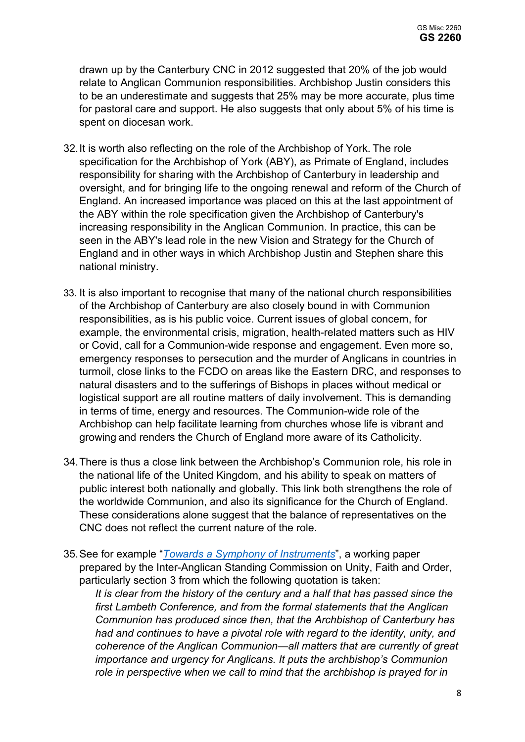drawn up by the Canterbury CNC in 2012 suggested that 20% of the job would relate to Anglican Communion responsibilities. Archbishop Justin considers this to be an underestimate and suggests that 25% may be more accurate, plus time for pastoral care and support. He also suggests that only about 5% of his time is spent on diocesan work.

- 32.It is worth also reflecting on the role of the Archbishop of York. The role specification for the Archbishop of York (ABY), as Primate of England, includes responsibility for sharing with the Archbishop of Canterbury in leadership and oversight, and for bringing life to the ongoing renewal and reform of the Church of England. An increased importance was placed on this at the last appointment of the ABY within the role specification given the Archbishop of Canterbury's increasing responsibility in the Anglican Communion. In practice, this can be seen in the ABY's lead role in the new Vision and Strategy for the Church of England and in other ways in which Archbishop Justin and Stephen share this national ministry.
- 33. It is also important to recognise that many of the national church responsibilities of the Archbishop of Canterbury are also closely bound in with Communion responsibilities, as is his public voice. Current issues of global concern, for example, the environmental crisis, migration, health-related matters such as HIV or Covid, call for a Communion-wide response and engagement. Even more so, emergency responses to persecution and the murder of Anglicans in countries in turmoil, close links to the FCDO on areas like the Eastern DRC, and responses to natural disasters and to the sufferings of Bishops in places without medical or logistical support are all routine matters of daily involvement. This is demanding in terms of time, energy and resources. The Communion-wide role of the Archbishop can help facilitate learning from churches whose life is vibrant and growing and renders the Church of England more aware of its Catholicity.
- 34.There is thus a close link between the Archbishop's Communion role, his role in the national life of the United Kingdom, and his ability to speak on matters of public interest both nationally and globally. This link both strengthens the role of the worldwide Communion, and also its significance for the Church of England. These considerations alone suggest that the balance of representatives on the CNC does not reflect the current nature of the role.
- 35.See for example "*[Towards a Symphony of Instruments](https://www.anglicancommunion.org/media/209979/Towards-a-Symphony-of-Instruments-Web-Version.pdf)*", a working paper prepared by the Inter-Anglican Standing Commission on Unity, Faith and Order, particularly section 3 from which the following quotation is taken:

*It is clear from the history of the century and a half that has passed since the first Lambeth Conference, and from the formal statements that the Anglican Communion has produced since then, that the Archbishop of Canterbury has had and continues to have a pivotal role with regard to the identity, unity, and coherence of the Anglican Communion—all matters that are currently of great importance and urgency for Anglicans. It puts the archbishop's Communion role in perspective when we call to mind that the archbishop is prayed for in*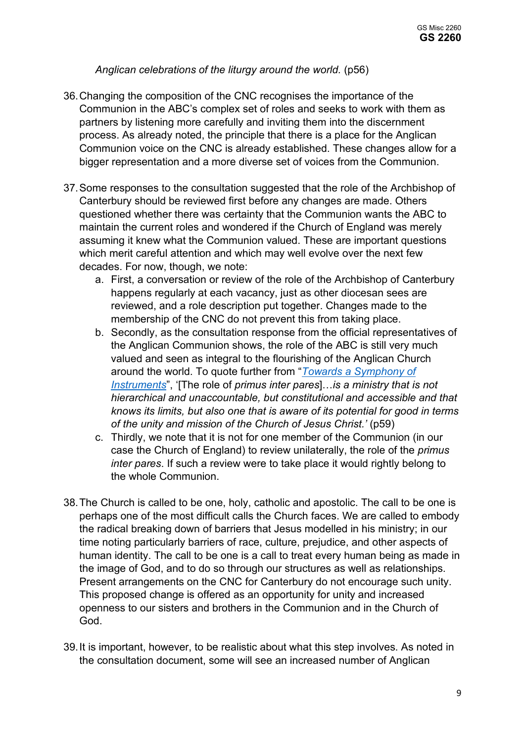## *Anglican celebrations of the liturgy around the world.* (p56)

- 36. Changing the composition of the CNC recognises the importance of the Communion in the ABC's complex set of roles and seeks to work with them as partners by listening more carefully and inviting them into the discernment process. As already noted, the principle that there is a place for the Anglican Communion voice on the CNC is already established. These changes allow for a bigger representation and a more diverse set of voices from the Communion.
- 37.Some responses to the consultation suggested that the role of the Archbishop of Canterbury should be reviewed first before any changes are made. Others questioned whether there was certainty that the Communion wants the ABC to maintain the current roles and wondered if the Church of England was merely assuming it knew what the Communion valued. These are important questions which merit careful attention and which may well evolve over the next few decades. For now, though, we note:
	- a. First, a conversation or review of the role of the Archbishop of Canterbury happens regularly at each vacancy, just as other diocesan sees are reviewed, and a role description put together. Changes made to the membership of the CNC do not prevent this from taking place.
	- b. Secondly, as the consultation response from the official representatives of the Anglican Communion shows, the role of the ABC is still very much valued and seen as integral to the flourishing of the Anglican Church around the world. To quote further from "*[Towards a Symphony of](https://www.anglicancommunion.org/media/209979/Towards-a-Symphony-of-Instruments-Web-Version.pdf)  [Instruments](https://www.anglicancommunion.org/media/209979/Towards-a-Symphony-of-Instruments-Web-Version.pdf)*", '[The role of *primus inter pares*]…*is a ministry that is not hierarchical and unaccountable, but constitutional and accessible and that knows its limits, but also one that is aware of its potential for good in terms of the unity and mission of the Church of Jesus Christ.'* (p59)
	- c. Thirdly, we note that it is not for one member of the Communion (in our case the Church of England) to review unilaterally, the role of the *primus inter pares*. If such a review were to take place it would rightly belong to the whole Communion.
- 38.The Church is called to be one, holy, catholic and apostolic. The call to be one is perhaps one of the most difficult calls the Church faces. We are called to embody the radical breaking down of barriers that Jesus modelled in his ministry; in our time noting particularly barriers of race, culture, prejudice, and other aspects of human identity. The call to be one is a call to treat every human being as made in the image of God, and to do so through our structures as well as relationships. Present arrangements on the CNC for Canterbury do not encourage such unity. This proposed change is offered as an opportunity for unity and increased openness to our sisters and brothers in the Communion and in the Church of God.
- 39.It is important, however, to be realistic about what this step involves. As noted in the consultation document, some will see an increased number of Anglican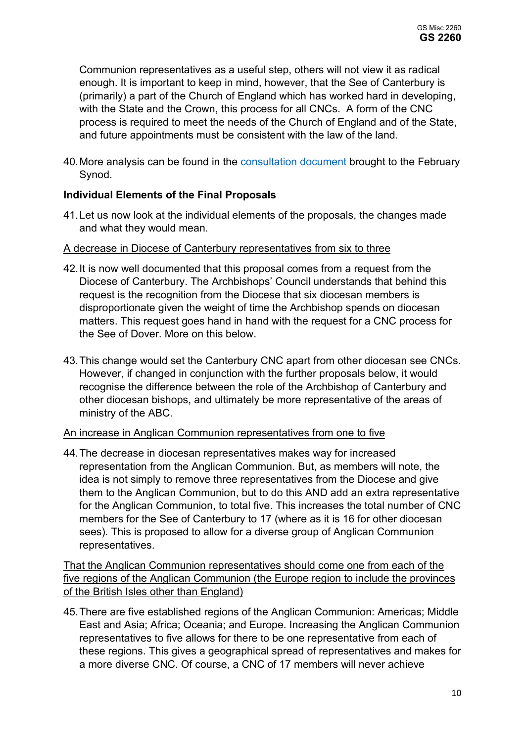Communion representatives as a useful step, others will not view it as radical enough. It is important to keep in mind, however, that the See of Canterbury is (primarily) a part of the Church of England which has worked hard in developing, with the State and the Crown, this process for all CNCs. A form of the CNC process is required to meet the needs of the Church of England and of the State, and future appointments must be consistent with the law of the land.

40.More analysis can be found in the [consultation document](https://www.churchofengland.org/sites/default/files/2022-01/GS%202253%20Consultation%20on%20Proposed%20Changes%20to%20the%20Canterbury%20CNC.pdf) brought to the February Synod.

## **Individual Elements of the Final Proposals**

41.Let us now look at the individual elements of the proposals, the changes made and what they would mean.

#### A decrease in Diocese of Canterbury representatives from six to three

- 42.It is now well documented that this proposal comes from a request from the Diocese of Canterbury. The Archbishops' Council understands that behind this request is the recognition from the Diocese that six diocesan members is disproportionate given the weight of time the Archbishop spends on diocesan matters. This request goes hand in hand with the request for a CNC process for the See of Dover. More on this below.
- 43.This change would set the Canterbury CNC apart from other diocesan see CNCs. However, if changed in conjunction with the further proposals below, it would recognise the difference between the role of the Archbishop of Canterbury and other diocesan bishops, and ultimately be more representative of the areas of ministry of the ABC.

#### An increase in Anglican Communion representatives from one to five

44.The decrease in diocesan representatives makes way for increased representation from the Anglican Communion. But, as members will note, the idea is not simply to remove three representatives from the Diocese and give them to the Anglican Communion, but to do this AND add an extra representative for the Anglican Communion, to total five. This increases the total number of CNC members for the See of Canterbury to 17 (where as it is 16 for other diocesan sees). This is proposed to allow for a diverse group of Anglican Communion representatives.

That the Anglican Communion representatives should come one from each of the five regions of the Anglican Communion (the Europe region to include the provinces of the British Isles other than England)

45.There are five established regions of the Anglican Communion: Americas; Middle East and Asia; Africa; Oceania; and Europe. Increasing the Anglican Communion representatives to five allows for there to be one representative from each of these regions. This gives a geographical spread of representatives and makes for a more diverse CNC. Of course, a CNC of 17 members will never achieve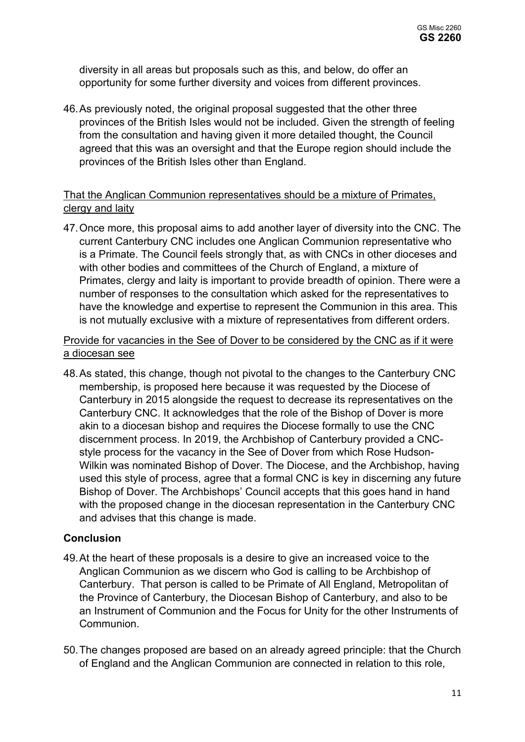diversity in all areas but proposals such as this, and below, do offer an opportunity for some further diversity and voices from different provinces.

46.As previously noted, the original proposal suggested that the other three provinces of the British Isles would not be included. Given the strength of feeling from the consultation and having given it more detailed thought, the Council agreed that this was an oversight and that the Europe region should include the provinces of the British Isles other than England.

## That the Anglican Communion representatives should be a mixture of Primates, clergy and laity

47.Once more, this proposal aims to add another layer of diversity into the CNC. The current Canterbury CNC includes one Anglican Communion representative who is a Primate. The Council feels strongly that, as with CNCs in other dioceses and with other bodies and committees of the Church of England, a mixture of Primates, clergy and laity is important to provide breadth of opinion. There were a number of responses to the consultation which asked for the representatives to have the knowledge and expertise to represent the Communion in this area. This is not mutually exclusive with a mixture of representatives from different orders.

## Provide for vacancies in the See of Dover to be considered by the CNC as if it were a diocesan see

48.As stated, this change, though not pivotal to the changes to the Canterbury CNC membership, is proposed here because it was requested by the Diocese of Canterbury in 2015 alongside the request to decrease its representatives on the Canterbury CNC. It acknowledges that the role of the Bishop of Dover is more akin to a diocesan bishop and requires the Diocese formally to use the CNC discernment process. In 2019, the Archbishop of Canterbury provided a CNCstyle process for the vacancy in the See of Dover from which Rose Hudson-Wilkin was nominated Bishop of Dover. The Diocese, and the Archbishop, having used this style of process, agree that a formal CNC is key in discerning any future Bishop of Dover. The Archbishops' Council accepts that this goes hand in hand with the proposed change in the diocesan representation in the Canterbury CNC and advises that this change is made.

## **Conclusion**

- 49.At the heart of these proposals is a desire to give an increased voice to the Anglican Communion as we discern who God is calling to be Archbishop of Canterbury. That person is called to be Primate of All England, Metropolitan of the Province of Canterbury, the Diocesan Bishop of Canterbury, and also to be an Instrument of Communion and the Focus for Unity for the other Instruments of **Communion**
- 50.The changes proposed are based on an already agreed principle: that the Church of England and the Anglican Communion are connected in relation to this role,